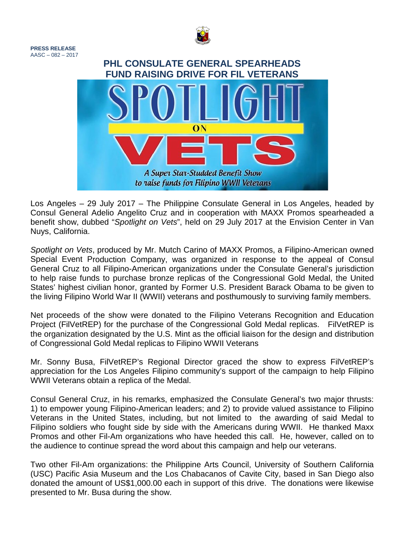

**PRESS RELEASE**  $AASC - 082 - 2017$ 

## **PHL CONSULATE GENERAL SPEARHEADS FUND RAISING DRIVE FOR FIL VETERANS**

ON

Los Angeles – 29 July 2017 – The Philippine Consulate General in Los Angeles, headed by Consul General Adelio Angelito Cruz and in cooperation with MAXX Promos spearheaded a benefit show, dubbed "*Spotlight on Vets*", held on 29 July 2017 at the Envision Center in Van Nuys, California.

A Super Star-Studded Benefit Show to raise funds for Filipino WWII Veterans

*Spotlight on Vets*, produced by Mr. Mutch Carino of MAXX Promos, a Filipino-American owned Special Event Production Company, was organized in response to the appeal of Consul General Cruz to all Filipino-American organizations under the Consulate General's jurisdiction to help raise funds to purchase bronze replicas of the Congressional Gold Medal, the United States' highest civilian honor, granted by Former U.S. President Barack Obama to be given to the living Filipino World War II (WWII) veterans and posthumously to surviving family members.

Net proceeds of the show were donated to the Filipino Veterans Recognition and Education Project (FilVetREP) for the purchase of the Congressional Gold Medal replicas. FilVetREP is the organization designated by the U.S. Mint as the official liaison for the design and distribution of Congressional Gold Medal replicas to Filipino WWII Veterans

Mr. Sonny Busa, FilVetREP's Regional Director graced the show to express FilVetREP's appreciation for the Los Angeles Filipino community's support of the campaign to help Filipino WWII Veterans obtain a replica of the Medal.

Consul General Cruz, in his remarks, emphasized the Consulate General's two major thrusts: 1) to empower young Filipino-American leaders; and 2) to provide valued assistance to Filipino Veterans in the United States, including, but not limited to the awarding of said Medal to Filipino soldiers who fought side by side with the Americans during WWII. He thanked Maxx Promos and other Fil-Am organizations who have heeded this call. He, however, called on to the audience to continue spread the word about this campaign and help our veterans.

Two other Fil-Am organizations: the Philippine Arts Council, University of Southern California (USC) Pacific Asia Museum and the Los Chabacanos of Cavite City, based in San Diego also donated the amount of US\$1,000.00 each in support of this drive. The donations were likewise presented to Mr. Busa during the show.